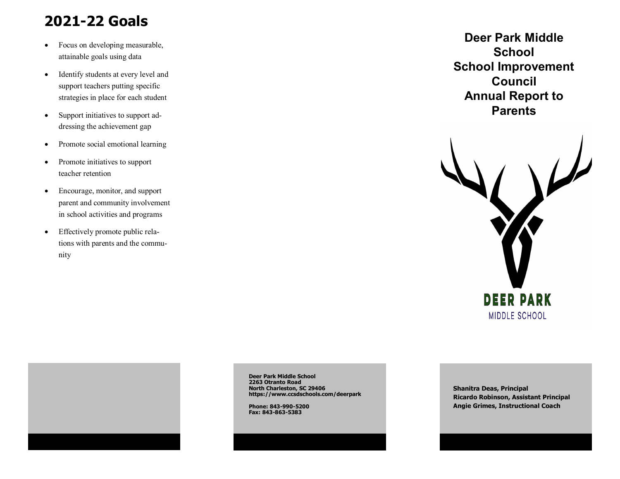## **2021-22 Goals**

- Focus on developing measurable, attainable goals using data
- Identify students at every level and support teachers putting specific strategies in place for each student
- Support initiatives to support addressing the achievement gap
- Promote social emotional learning
- Promote initiatives to support teacher retention
- Encourage, monitor, and support parent and community involvement in school activities and programs
- Effectively promote public relations with parents and the community

**Deer Park Middle School School Improvement Council Annual Report to Parents** 





**Deer Park Middle School 2263 Otranto Road North Charleston, SC 29406 https://www.ccsdschools.com/deerpark**

**Phone: 843-990-5200 Fax: 843-863-5383**

**Shanitra Deas, Principal Ricardo Robinson, Assistant Principal Angie Grimes, Instructional Coach**